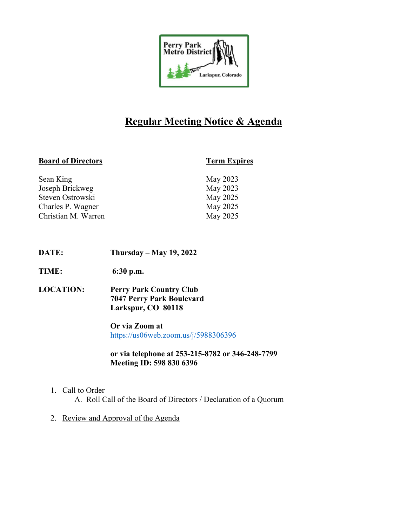

# **Regular Meeting Notice & Agenda**

# **Board of Directors Term Expires**

| May 2023 |
|----------|
|          |
| May 2023 |
| May 2025 |
| May 2025 |
| May 2025 |
|          |

- **DATE: Thursday – May 19, 2022**
- **TIME: 6:30 p.m.**
- **LOCATION: Perry Park Country Club 7047 Perry Park Boulevard Larkspur, CO 80118**

**Or via Zoom at** https://us06web.zoom.us/j/5988306396

**or via telephone at 253-215-8782 or 346-248-7799 Meeting ID: 598 830 6396**

1. Call to Order

A. Roll Call of the Board of Directors / Declaration of a Quorum

2. Review and Approval of the Agenda